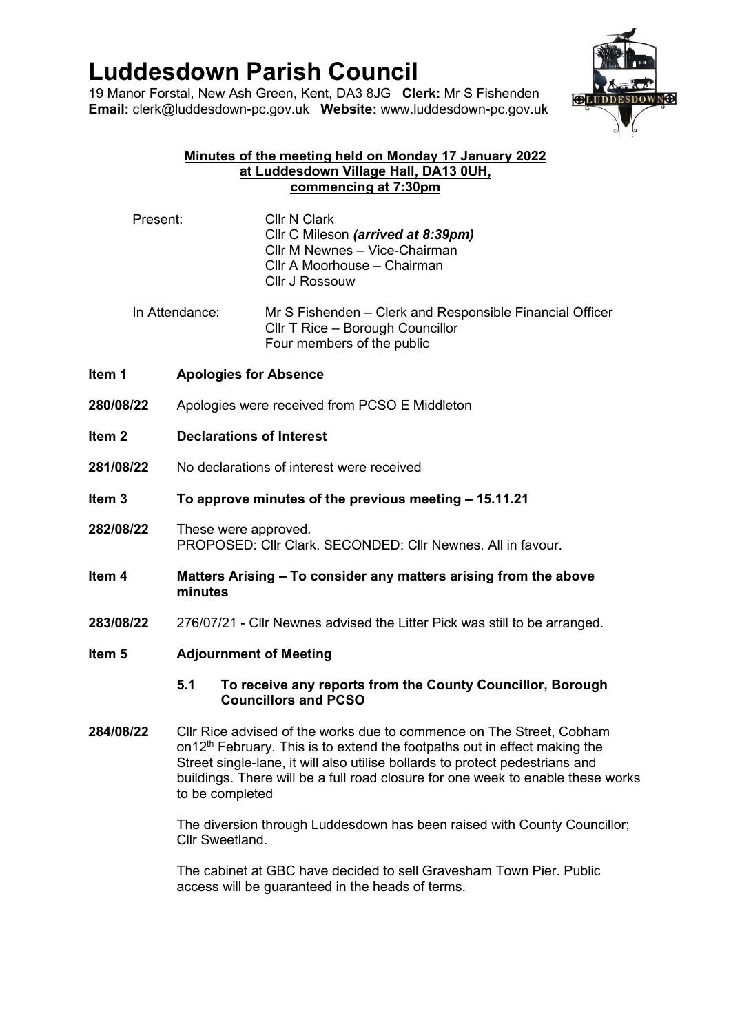19 Manor Forstal, New Ash Green, Kent, DA3 8JG **Clerk:** Mr S Fishenden **Email:** [clerk@luddesdown-pc.gov.uk](mailto:clerk@luddesdown-pc.gov.uk) **Website:** www.luddesdown-pc.gov.uk



### **Minutes of the meeting held on Monday 17 January 2022 at Luddesdown Village Hall, DA13 0UH, commencing at 7:30pm**

- Present: Cllr N Clark Cllr C Mileson *(arrived at 8:39pm)* Cllr M Newnes – Vice-Chairman Cllr A Moorhouse – Chairman Cllr J Rossouw
- In Attendance: Mr S Fishenden Clerk and Responsible Financial Officer Cllr T Rice – Borough Councillor Four members of the public
- **Item 1 Apologies for Absence**
- **280/08/22** Apologies were received from PCSO E Middleton
- **Item 2 Declarations of Interest**
- **281/08/22** No declarations of interest were received
- **Item 3 To approve minutes of the previous meeting – 15.11.21**
- **282/08/22** These were approved. PROPOSED: Cllr Clark. SECONDED: Cllr Newnes. All in favour.
- **Item 4 Matters Arising – To consider any matters arising from the above minutes**
- **283/08/22** 276/07/21 Cllr Newnes advised the Litter Pick was still to be arranged.
- **Item 5 Adjournment of Meeting**

### **5.1 To receive any reports from the County Councillor, Borough Councillors and PCSO**

**284/08/22** Cllr Rice advised of the works due to commence on The Street, Cobham on12<sup>th</sup> February. This is to extend the footpaths out in effect making the Street single-lane, it will also utilise bollards to protect pedestrians and buildings. There will be a full road closure for one week to enable these works to be completed

> The diversion through Luddesdown has been raised with County Councillor; Cllr Sweetland.

The cabinet at GBC have decided to sell Gravesham Town Pier. Public access will be guaranteed in the heads of terms.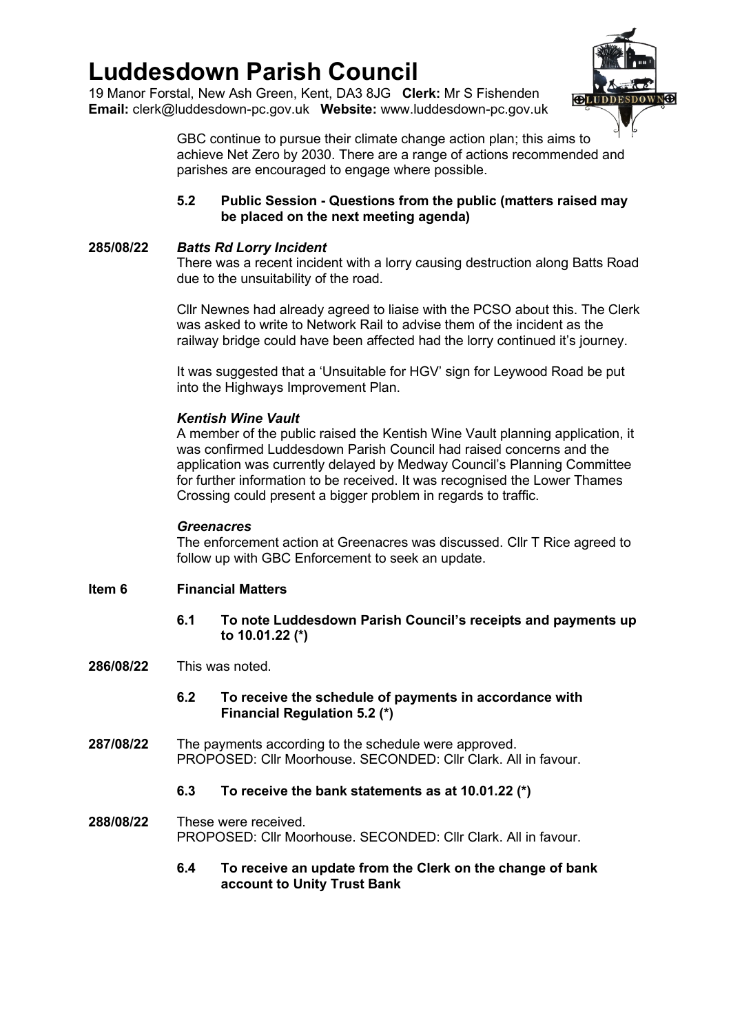19 Manor Forstal, New Ash Green, Kent, DA3 8JG **Clerk:** Mr S Fishenden **Email:** [clerk@luddesdown-pc.gov.uk](mailto:clerk@luddesdown-pc.gov.uk) **Website:** www.luddesdown-pc.gov.uk



GBC continue to pursue their climate change action plan; this aims to achieve Net Zero by 2030. There are a range of actions recommended and parishes are encouraged to engage where possible.

### **5.2 Public Session - Questions from the public (matters raised may be placed on the next meeting agenda)**

## **285/08/22** *Batts Rd Lorry Incident*

There was a recent incident with a lorry causing destruction along Batts Road due to the unsuitability of the road.

Cllr Newnes had already agreed to liaise with the PCSO about this. The Clerk was asked to write to Network Rail to advise them of the incident as the railway bridge could have been affected had the lorry continued it's journey.

It was suggested that a 'Unsuitable for HGV' sign for Leywood Road be put into the Highways Improvement Plan.

### *Kentish Wine Vault*

A member of the public raised the Kentish Wine Vault planning application, it was confirmed Luddesdown Parish Council had raised concerns and the application was currently delayed by Medway Council's Planning Committee for further information to be received. It was recognised the Lower Thames Crossing could present a bigger problem in regards to traffic.

#### *Greenacres*

The enforcement action at Greenacres was discussed. Cllr T Rice agreed to follow up with GBC Enforcement to seek an update.

- **Item 6 Financial Matters**
	- **6.1 To note Luddesdown Parish Council's receipts and payments up to 10.01.22 (\*)**
- **286/08/22** This was noted.
	- **6.2 To receive the schedule of payments in accordance with Financial Regulation 5.2 (\*)**
- **287/08/22** The payments according to the schedule were approved. PROPOSED: Cllr Moorhouse. SECONDED: Cllr Clark. All in favour.
	- **6.3 To receive the bank statements as at 10.01.22 (\*)**
- **288/08/22** These were received. PROPOSED: Cllr Moorhouse. SECONDED: Cllr Clark. All in favour.
	- **6.4 To receive an update from the Clerk on the change of bank account to Unity Trust Bank**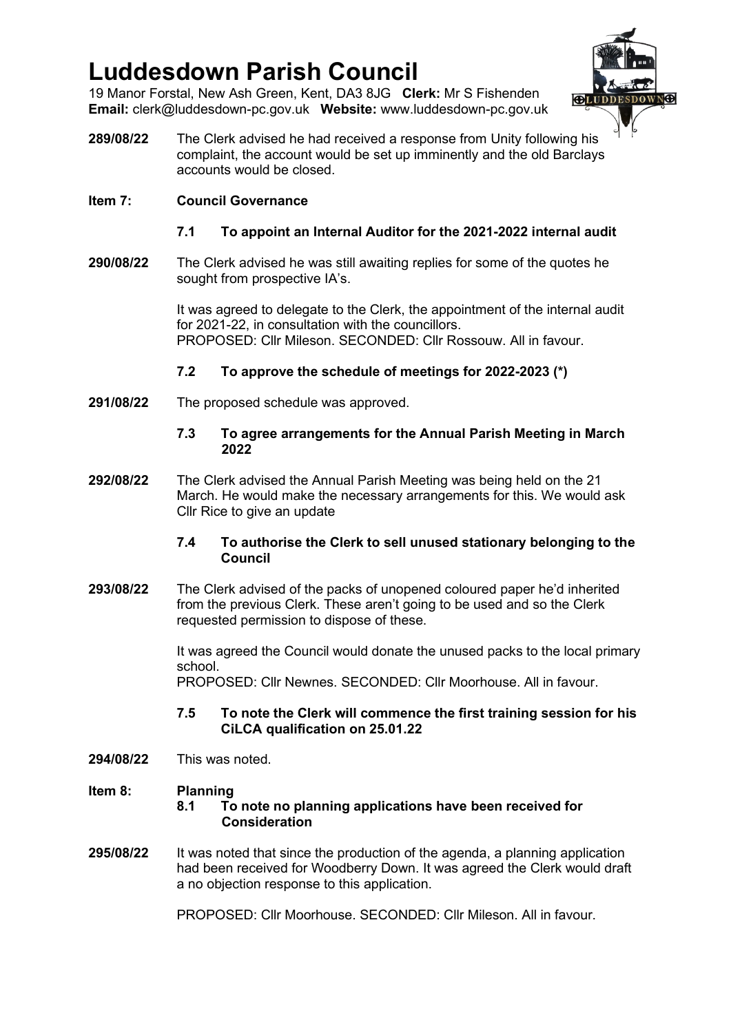19 Manor Forstal, New Ash Green, Kent, DA3 8JG **Clerk:** Mr S Fishenden **Email:** [clerk@luddesdown-pc.gov.uk](mailto:clerk@luddesdown-pc.gov.uk) **Website:** www.luddesdown-pc.gov.uk



**289/08/22** The Clerk advised he had received a response from Unity following his complaint, the account would be set up imminently and the old Barclays accounts would be closed.

## **Item 7: Council Governance**

# **7.1 To appoint an Internal Auditor for the 2021-2022 internal audit**

**290/08/22** The Clerk advised he was still awaiting replies for some of the quotes he sought from prospective IA's.

> It was agreed to delegate to the Clerk, the appointment of the internal audit for 2021-22, in consultation with the councillors. PROPOSED: Cllr Mileson. SECONDED: Cllr Rossouw. All in favour.

## **7.2 To approve the schedule of meetings for 2022-2023 (\*)**

**291/08/22** The proposed schedule was approved.

### **7.3 To agree arrangements for the Annual Parish Meeting in March 2022**

**292/08/22** The Clerk advised the Annual Parish Meeting was being held on the 21 March. He would make the necessary arrangements for this. We would ask Cllr Rice to give an update

## **7.4 To authorise the Clerk to sell unused stationary belonging to the Council**

**293/08/22** The Clerk advised of the packs of unopened coloured paper he'd inherited from the previous Clerk. These aren't going to be used and so the Clerk requested permission to dispose of these.

> It was agreed the Council would donate the unused packs to the local primary school.

PROPOSED: Cllr Newnes. SECONDED: Cllr Moorhouse. All in favour.

## **7.5 To note the Clerk will commence the first training session for his CiLCA qualification on 25.01.22**

**294/08/22** This was noted.

## **Item 8: Planning**

### **8.1 To note no planning applications have been received for Consideration**

**295/08/22** It was noted that since the production of the agenda, a planning application had been received for Woodberry Down. It was agreed the Clerk would draft a no objection response to this application.

PROPOSED: Cllr Moorhouse. SECONDED: Cllr Mileson. All in favour.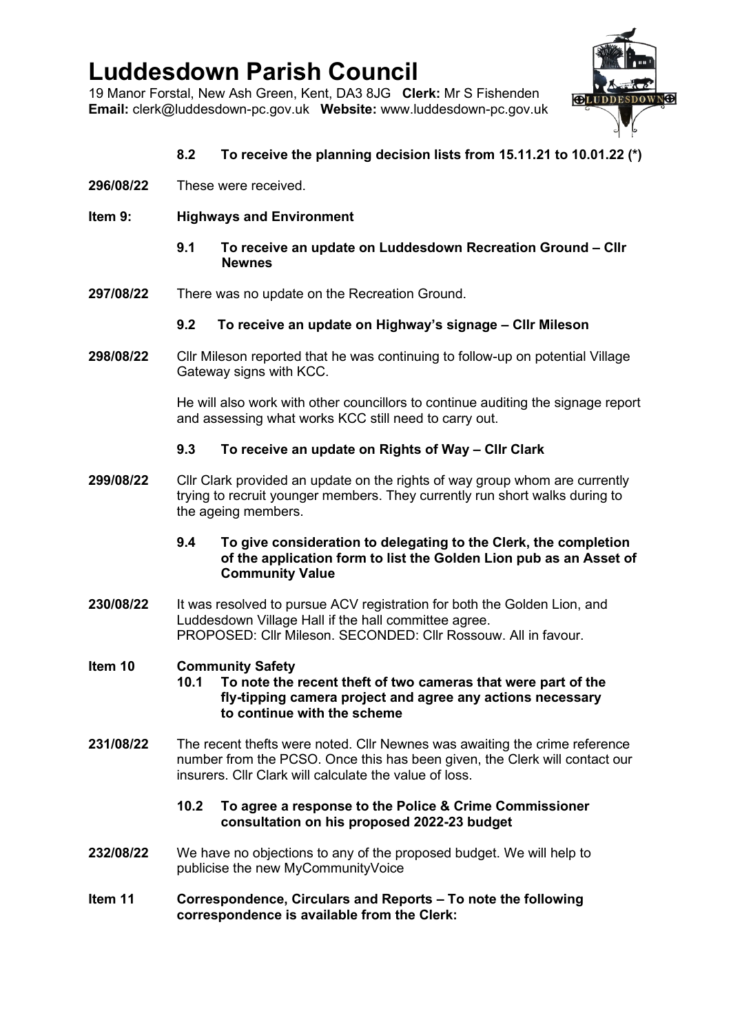19 Manor Forstal, New Ash Green, Kent, DA3 8JG **Clerk:** Mr S Fishenden **Email:** [clerk@luddesdown-pc.gov.uk](mailto:clerk@luddesdown-pc.gov.uk) **Website:** www.luddesdown-pc.gov.uk



- **8.2 To receive the planning decision lists from 15.11.21 to 10.01.22 (\*)**
- **296/08/22** These were received.
- **Item 9: Highways and Environment**
	- **9.1 To receive an update on Luddesdown Recreation Ground – Cllr Newnes**
- **297/08/22** There was no update on the Recreation Ground.

## **9.2 To receive an update on Highway's signage – Cllr Mileson**

**298/08/22** Cllr Mileson reported that he was continuing to follow-up on potential Village Gateway signs with KCC.

> He will also work with other councillors to continue auditing the signage report and assessing what works KCC still need to carry out.

- **9.3 To receive an update on Rights of Way – Cllr Clark**
- **299/08/22** Cllr Clark provided an update on the rights of way group whom are currently trying to recruit younger members. They currently run short walks during to the ageing members.
	- **9.4 To give consideration to delegating to the Clerk, the completion of the application form to list the Golden Lion pub as an Asset of Community Value**
- **230/08/22** It was resolved to pursue ACV registration for both the Golden Lion, and Luddesdown Village Hall if the hall committee agree. PROPOSED: Cllr Mileson. SECONDED: Cllr Rossouw. All in favour.

**Item 10 Community Safety**

**10.1 To note the recent theft of two cameras that were part of the fly-tipping camera project and agree any actions necessary to continue with the scheme**

**231/08/22** The recent thefts were noted. Cllr Newnes was awaiting the crime reference number from the PCSO. Once this has been given, the Clerk will contact our insurers. Cllr Clark will calculate the value of loss.

### **10.2 To agree a response to the Police & Crime Commissioner consultation on his proposed 2022-23 budget**

- **232/08/22** We have no objections to any of the proposed budget. We will help to publicise the new MyCommunityVoice
- **Item 11 Correspondence, Circulars and Reports – To note the following correspondence is available from the Clerk:**